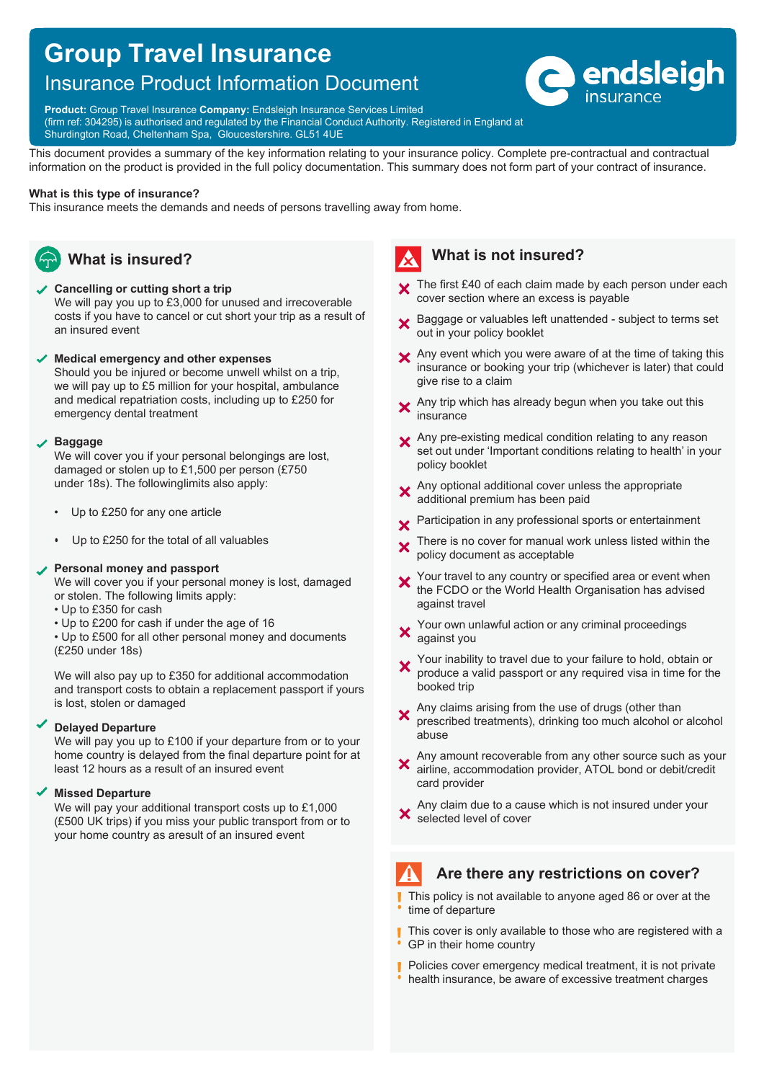# **Group Travel Insurance**

## Insurance Product Information Document



**Product:** Group Travel Insurance **Company:** Endsleigh Insurance Services Limited (firm ref: 304295) is authorised and regulated by the Financial Conduct Authority. Registered in England at

Shurdington Road, Cheltenham Spa, Gloucestershire. GL51 4UE

This document provides a summary of the key information relating to your insurance policy. Complete pre-contractual and contractual information on the product is provided in the full policy documentation. This summary does not form part of your contract of insurance.

#### **What is this type of insurance?**

This insurance meets the demands and needs of persons travelling away from home.



### **Cancelling or cutting short a trip**

We will pay you up to £3,000 for unused and irrecoverable costs if you have to cancel or cut short your trip as a result of an insured event

#### **Medical emergency and other expenses**

Should you be injured or become unwell whilst on a trip, we will pay up to £5 million for your hospital, ambulance and medical repatriation costs, including up to £250 for emergency dental treatment

#### **Baggage**

We will cover you if your personal belongings are lost, damaged or stolen up to £1,500 per person (£750 under 18s). The following limits also apply:

- Up to £250 for any one article
- Up to £250 for the total of all valuables

#### **Personal money and passport**

We will cover you if your personal money is lost, damaged or stolen. The following limits apply:

- Up to £350 for cash
- Up to £200 for cash if under the age of 16

• Up to £500 for all other personal money and documents (£250 under 18s)

We will also pay up to £350 for additional accommodation and transport costs to obtain a replacement passport if yours is lost, stolen or damaged

#### **Delayed Departure**

We will pay you up to £100 if your departure from or to your home country is delayed from the final departure point for at least 12 hours as a result of an insured event

#### **Missed Departure**

We will pay your additional transport costs up to £1,000 (£500 UK trips) if you miss your public transport from or to your home country as aresult of an insured event

## **What is not insured?**

- **X** The first £40 of each claim made by each person under each cover section where an excess is payable
- Baggage or valuables left unattended subject to terms set out in your policy booklet
- X Any event which you were aware of at the time of taking this insurance or booking your trip (whichever is later) that could give rise to a claim
- Any trip which has already begun when you take out this  $\mathbf x$ insurance
- X Any pre-existing medical condition relating to any reason set out under 'Important conditions relating to health' in your policy booklet
- Any optional additional cover unless the appropriate additional premium has been paid
- Participation in any professional sports or entertainment  $\overline{\mathbf{x}}$
- There is no cover for manual work unless listed within the  $\boldsymbol{\mathsf{x}}$ policy document as acceptable
- Your travel to any country or specified area or event when the FCDO or the World Health Organisation has advised against travel
- Your own unlawful action or any criminal proceedings  $\boldsymbol{\mathsf{x}}$ against you
- Your inability to travel due to your failure to hold, obtain or  $\boldsymbol{\mathsf{x}}$ produce a valid passport or any required visa in time for the booked trip
- Any claims arising from the use of drugs (other than  $\boldsymbol{\mathsf{x}}$ prescribed treatments), drinking too much alcohol or alcohol abuse
- Any amount recoverable from any other source such as your  $\overline{\mathbf{x}}$ airline, accommodation provider, ATOL bond or debit/credit card provider
- Any claim due to a cause which is not insured under your selected level of cover

## **Are there any restrictions on cover?**

- This policy is not available to anyone aged 86 or over at the time of departure
- This cover is only available to those who are registered with a GP in their home country
- Policies cover emergency medical treatment, it is not private п health insurance, be aware of excessive treatment charges